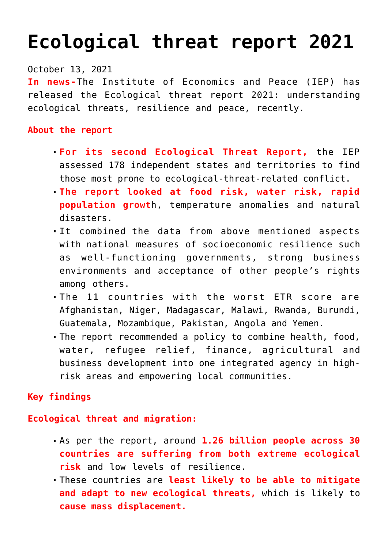# **[Ecological threat report 2021](https://journalsofindia.com/ecological-threat-report-2021/)**

October 13, 2021

**In news-**The Institute of Economics and Peace (IEP) has released the Ecological threat report 2021: understanding ecological threats, resilience and peace, recently.

## **About the report**

- **For its second Ecological Threat Report,** the IEP assessed 178 independent states and territories to find those most prone to ecological-threat-related conflict.
- **The report looked at food risk, water risk, rapid population growt**h, temperature anomalies and natural disasters.
- It combined the data from above mentioned aspects with national measures of socioeconomic resilience such as well-functioning governments, strong business environments and acceptance of other people's rights among others.
- The 11 countries with the worst ETR score are Afghanistan, Niger, Madagascar, Malawi, Rwanda, Burundi, Guatemala, Mozambique, Pakistan, Angola and Yemen.
- The report recommended a policy to combine health, food, water, refugee relief, finance, agricultural and business development into one integrated agency in highrisk areas and empowering local communities.

## **Key findings**

### **Ecological threat and migration:**

- As per the report, around **1.26 billion people across 30 countries are suffering from both extreme ecological risk** and low levels of resilience.
- These countries are **least likely to be able to mitigate and adapt to new ecological threats,** which is likely to **cause mass displacement.**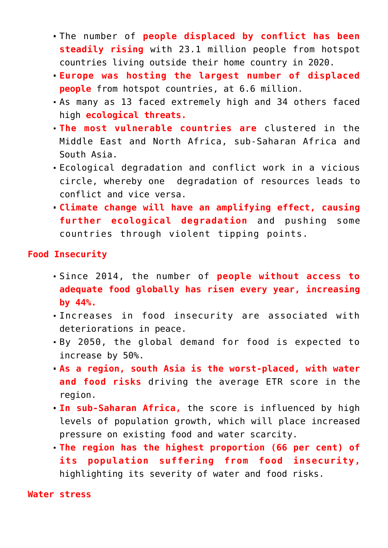- The number of **people displaced by conflict has been steadily rising** with 23.1 million people from hotspot countries living outside their home country in 2020.
- **Europe was hosting the largest number of displaced people** from hotspot countries, at 6.6 million.
- As many as 13 faced extremely high and 34 others faced high **ecological threats.**
- **The most vulnerable countries are** clustered in the Middle East and North Africa, sub-Saharan Africa and South Asia.
- Ecological degradation and conflict work in a vicious circle, whereby one degradation of resources leads to conflict and vice versa.
- **Climate change will have an amplifying effect, causing further ecological degradation** and pushing some countries through violent tipping points.

**Food Insecurity** 

- Since 2014, the number of **people without access to adequate food globally has risen every year, increasing by 44%.**
- Increases in food insecurity are associated with deteriorations in peace.
- By 2050, the global demand for food is expected to increase by 50%.
- **As a region, south Asia is the worst-placed, with water and food risks** driving the average ETR score in the region.
- **In sub-Saharan Africa,** the score is influenced by high levels of population growth, which will place increased pressure on existing food and water scarcity.
- **The region has the highest proportion (66 per cent) of its population suffering from food insecurity,** highlighting its severity of water and food risks.

**Water stress**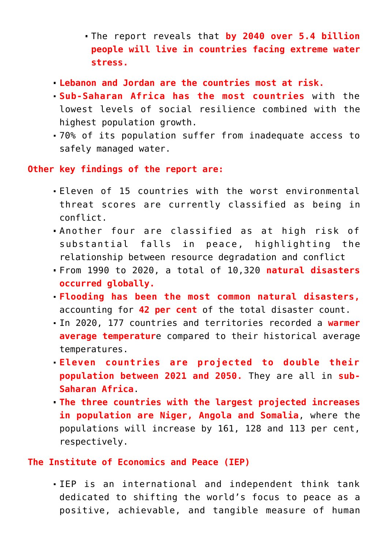- The report reveals that **by 2040 over 5.4 billion people will live in countries facing extreme water stress.**
- **Lebanon and Jordan are the countries most at risk.**
- **Sub-Saharan Africa has the most countries** with the lowest levels of social resilience combined with the highest population growth.
- 70% of its population suffer from inadequate access to safely managed water.

**Other key findings of the report are:**

- Eleven of 15 countries with the worst environmental threat scores are currently classified as being in conflict.
- Another four are classified as at high risk of substantial falls in peace, highlighting the relationship between resource degradation and conflict
- From 1990 to 2020, a total of 10,320 **natural disasters occurred globally.**
- **Flooding has been the most common natural disasters,** accounting for **42 per cent** of the total disaster count.
- In 2020, 177 countries and territories recorded a **warmer average temperatur**e compared to their historical average temperatures.
- **Eleven countries are projected to double their population between 2021 and 2050.** They are all in **sub-Saharan Africa**.
- **The three countries with the largest projected increases in population are Niger, Angola and Somalia**, where the populations will increase by 161, 128 and 113 per cent, respectively.

### **The Institute of Economics and Peace (IEP)**

IEP is an international and independent think tank dedicated to shifting the world's focus to peace as a positive, achievable, and tangible measure of human